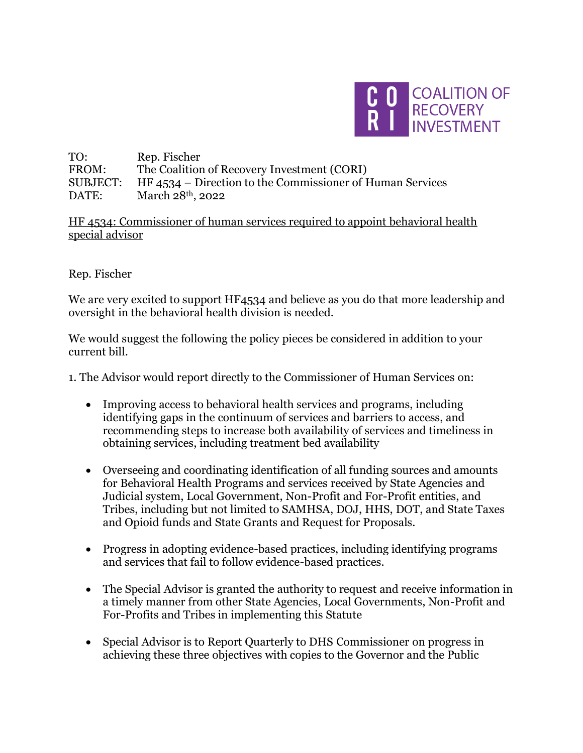

TO: Rep. Fischer FROM: The Coalition of Recovery Investment (CORI) SUBJECT: HF 4534 – Direction to the Commissioner of Human Services DATE: March 28<sup>th</sup>, 2022

HF 4534: Commissioner of human services required to appoint behavioral health special advisor

Rep. Fischer

We are very excited to support HF4534 and believe as you do that more leadership and oversight in the behavioral health division is needed.

We would suggest the following the policy pieces be considered in addition to your current bill.

1. The Advisor would report directly to the Commissioner of Human Services on:

- Improving access to behavioral health services and programs, including identifying gaps in the continuum of services and barriers to access, and recommending steps to increase both availability of services and timeliness in obtaining services, including treatment bed availability
- Overseeing and coordinating identification of all funding sources and amounts for Behavioral Health Programs and services received by State Agencies and Judicial system, Local Government, Non-Profit and For-Profit entities, and Tribes, including but not limited to SAMHSA, DOJ, HHS, DOT, and State Taxes and Opioid funds and State Grants and Request for Proposals.
- Progress in adopting evidence-based practices, including identifying programs and services that fail to follow evidence-based practices.
- The Special Advisor is granted the authority to request and receive information in a timely manner from other State Agencies, Local Governments, Non-Profit and For-Profits and Tribes in implementing this Statute
- Special Advisor is to Report Quarterly to DHS Commissioner on progress in achieving these three objectives with copies to the Governor and the Public